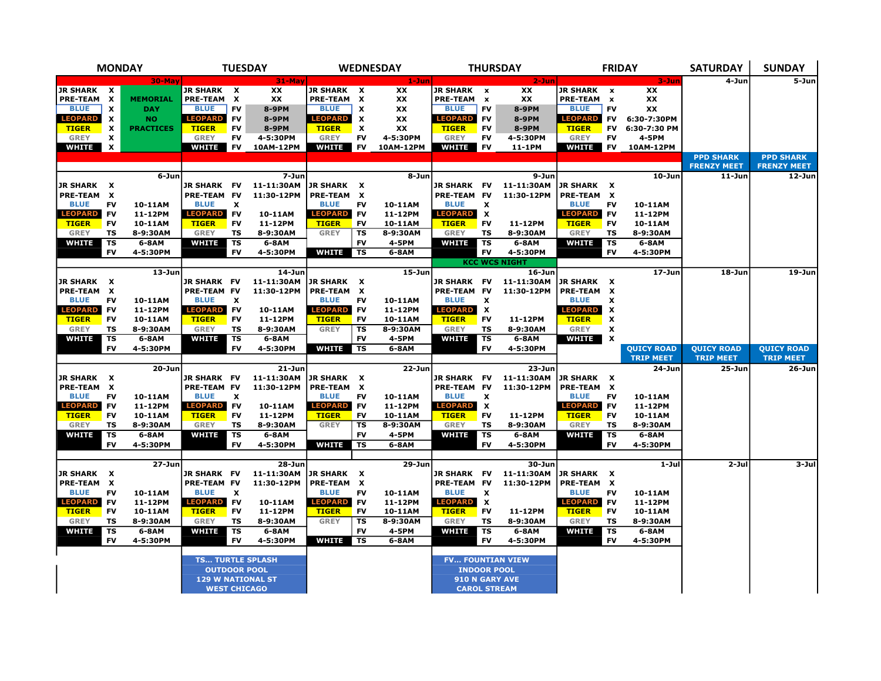| <b>MONDAY</b>                      |                                |                    |                                | <b>TUESDAY</b>            |                          | <b>WEDNESDAY</b>               |                           | <b>THURSDAY</b>    |                                    |                           | <b>FRIDAY</b>            | <b>SATURDAY</b>                | <b>SUNDAY</b>                             |                   |                    |                                        |
|------------------------------------|--------------------------------|--------------------|--------------------------------|---------------------------|--------------------------|--------------------------------|---------------------------|--------------------|------------------------------------|---------------------------|--------------------------|--------------------------------|-------------------------------------------|-------------------|--------------------|----------------------------------------|
|                                    |                                | 30-May             |                                |                           | $31-May$                 |                                |                           | $1 - Jun$          |                                    |                           | $2 - Jun$                |                                |                                           | $3 - Jun$         | 4-Jun              | 5-Jun                                  |
| <b>JR SHARK</b>                    | $\boldsymbol{\mathsf{x}}$      |                    | <b>JR SHARK X</b>              |                           | <b>XX</b>                | JR SHARK X                     |                           | <b>XX</b>          | <b>JR SHARK</b>                    | $\boldsymbol{\mathsf{x}}$ | XX                       | <b>JR SHARK</b>                | $\boldsymbol{\mathsf{x}}$                 | <b>XX</b>         |                    |                                        |
| <b>PRE-TEAM</b>                    | X                              | <b>MEMORIAL</b>    | PRE-TEAM X                     |                           | XX                       | <b>PRE-TEAM</b>                | X                         | XX                 | <b>PRE-TEAM</b>                    | $\boldsymbol{\mathsf{x}}$ | XX                       | <b>PRE-TEAM</b>                | $\pmb{\mathsf{x}}$                        | XX                |                    |                                        |
| <b>BLUE</b>                        | $\boldsymbol{x}$               | <b>DAY</b>         | <b>BLUE</b>                    | <b>FV</b>                 | 8-9PM                    | <b>BLUE</b>                    | $\boldsymbol{\mathsf{x}}$ | XX                 | <b>BLUE</b>                        | <b>FV</b>                 | <b>8-9PM</b>             | <b>BLUE</b>                    | <b>FV</b>                                 | XX                |                    |                                        |
| <b>LEOPARD</b>                     | $\boldsymbol{\mathsf{x}}$      | <b>NO</b>          | <b>LEOPARD</b>                 | <b>FV</b>                 | 8-9PM                    | <b>LEOPARD</b>                 | $\pmb{\chi}$              | XX                 | <b>LEOPARD</b>                     | <b>FV</b>                 | <b>8-9PM</b>             | <b>LEOPARD</b>                 | <b>FV</b>                                 | 6:30-7:30PM       |                    |                                        |
| <b>TIGER</b>                       | $\boldsymbol{\mathsf{x}}$      | <b>PRACTICES</b>   | <b>TIGER</b>                   | <b>FV</b>                 | 8-9PM                    | <b>TIGER</b>                   | $\boldsymbol{\mathsf{x}}$ | XX                 | <b>TIGER</b>                       | <b>FV</b>                 | 8-9PM                    | <b>TIGER</b>                   | <b>FV</b>                                 | 6:30-7:30 PM      |                    |                                        |
| <b>GREY</b>                        | x                              |                    | <b>GREY</b>                    | <b>FV</b>                 | 4-5:30PM                 | <b>GREY</b>                    | FV                        | 4-5:30PM           | <b>GREY</b>                        | <b>FV</b>                 | 4-5:30PM                 | <b>GREY</b>                    | <b>FV</b>                                 | 4-5PM             |                    |                                        |
| <b>WHITE</b>                       | $\boldsymbol{\mathsf{x}}$      |                    | WHITE                          | <b>FV</b>                 | 10AM-12PM                | <b>WHITE</b>                   | <b>FV</b>                 | 10AM-12PM          | <b>WHITE</b>                       | <b>FV</b>                 | 11-1PM                   | <b>WHITE</b>                   | <b>FV</b>                                 | 10AM-12PM         | <b>PPD SHARK</b>   |                                        |
|                                    |                                |                    |                                |                           |                          |                                |                           |                    |                                    |                           |                          |                                |                                           |                   | <b>FRENZY MEET</b> | <b>PPD SHARK</b><br><b>FRENZY MEET</b> |
|                                    |                                | 6-Jun              |                                |                           | 7-Jun                    |                                |                           | $8 - Jun$          |                                    |                           | 9-Jun                    |                                |                                           | 10-Jun            | $11 - Jun$         | 12-Jun                                 |
| <b>JR SHARK</b>                    | $\mathbf{x}$                   |                    | <b>JR SHARK</b>                | <b>FV</b>                 | 11-11:30AM               | JR SHARK X                     |                           |                    | <b>JR SHARK</b>                    | FV                        | 11-11:30AM               | <b>JR SHARK X</b>              |                                           |                   |                    |                                        |
| <b>PRE-TEAM</b>                    | $\boldsymbol{\mathsf{x}}$      |                    | <b>PRE-TEAM</b>                | <b>FV</b>                 | 11:30-12PM               | <b>PRE-TEAM</b>                | $\mathbf{x}$              |                    | <b>PRE-TEAM</b>                    | FV                        | 11:30-12PM               | PRE-TEAM                       | $\mathbf{x}$                              |                   |                    |                                        |
| <b>BLUE</b>                        | <b>FV</b>                      | 10-11AM            | <b>BLUE</b>                    | $\boldsymbol{\mathsf{x}}$ |                          | <b>BLUE</b>                    | FV                        | 10-11AM            | <b>BLUE</b>                        | x                         |                          | <b>BLUE</b>                    | <b>FV</b>                                 | 10-11AM           |                    |                                        |
| <b>LEOPARD</b>                     | <b>FV</b>                      | 11-12PM            | <b>LEOPARD</b>                 | <b>FV</b>                 | 10-11AM                  | <b>LEOPARD</b>                 | <b>FV</b>                 | 11-12PM            | <b>LEOPARD</b>                     | $\boldsymbol{\mathsf{x}}$ |                          | <b>LEOPARD</b>                 | <b>FV</b>                                 | 11-12PM           |                    |                                        |
| <b>TIGER</b>                       | <b>FV</b>                      | 10-11AM            | <b>TIGER</b>                   | <b>FV</b>                 | 11-12PM                  | <b>TIGER</b>                   | <b>FV</b>                 | 10-11AM            | <b>TIGER</b>                       | <b>FV</b>                 | 11-12PM                  | <b>TIGER</b>                   | <b>FV</b>                                 | 10-11AM           |                    |                                        |
| <b>GREY</b>                        | <b>TS</b>                      | 8-9:30AM           | <b>GREY</b>                    | <b>TS</b>                 | 8-9:30AM                 | <b>GREY</b>                    | <b>TS</b>                 | 8-9:30AM           | <b>GREY</b>                        | <b>TS</b>                 | 8-9:30AM                 | <b>GREY</b>                    | <b>TS</b>                                 | 8-9:30AM          |                    |                                        |
| <b>WHITE</b>                       | TS                             | 6-8AM              | <b>WHITE</b>                   | TS                        | 6-8AM                    |                                | <b>FV</b>                 | 4-5PM              | <b>WHITE</b>                       | <b>TS</b>                 | 6-8AM                    | <b>WHITE</b>                   | TS                                        | 6-8AM             |                    |                                        |
|                                    | <b>FV</b>                      | 4-5:30PM           |                                | <b>FV</b>                 | 4-5:30PM                 | <b>WHITE</b>                   | <b>TS</b>                 | 6-8AM              |                                    | <b>FV</b>                 | 4-5:30PM                 |                                | <b>FV</b>                                 | 4-5:30PM          |                    |                                        |
|                                    |                                |                    |                                |                           |                          |                                |                           |                    |                                    |                           | <b>KCC WCS NIGHT</b>     |                                |                                           |                   |                    |                                        |
|                                    |                                | $13 - Jun$         |                                |                           | 14-Jun                   |                                |                           | $15-$ Jun          |                                    |                           | $16 - Jun$               |                                |                                           | $17 - Jun$        | 18-Jun             | $19-$ Jun                              |
| JR SHARK                           | X                              |                    | <b>JR SHARK FV</b>             |                           | 11-11:30AM               | JR SHARK X                     |                           |                    | JR SHARK FV                        |                           | 11-11:30AM               | JR SHARK                       | x                                         |                   |                    |                                        |
| <b>PRE-TEAM</b>                    | $\boldsymbol{\mathsf{x}}$      |                    | PRE-TEAM FV                    |                           | 11:30-12PM               | PRE-TEAM X                     |                           |                    | <b>PRE-TEAM</b>                    | <b>FV</b>                 | 11:30-12PM               | <b>PRE-TEAM</b>                | $\boldsymbol{\mathsf{x}}$                 |                   |                    |                                        |
| <b>BLUE</b>                        | <b>FV</b>                      | 10-11AM            | <b>BLUE</b>                    | $\boldsymbol{\mathsf{x}}$ |                          | <b>BLUE</b>                    | <b>FV</b>                 | 10-11AM            | <b>BLUE</b>                        | $\boldsymbol{\mathsf{x}}$ |                          | <b>BLUE</b>                    | $\boldsymbol{\mathsf{x}}$                 |                   |                    |                                        |
| <b>LEOPARD</b><br><b>TIGER</b>     | <b>FV</b><br><b>FV</b>         | 11-12PM<br>10-11AM | <b>LEOPARD</b><br><b>TIGER</b> | <b>FV</b><br><b>FV</b>    | 10-11AM<br>11-12PM       | <b>LEOPARD</b><br><b>TIGER</b> | <b>FV</b><br><b>FV</b>    | 11-12PM<br>10-11AM | <b>LEOPARD</b><br><b>TIGER</b>     | X<br><b>FV</b>            | 11-12PM                  | <b>LEOPARD</b><br><b>TIGER</b> | X<br>X                                    |                   |                    |                                        |
| <b>GREY</b>                        | <b>TS</b>                      | 8-9:30AM           | <b>GREY</b>                    | TS                        | 8-9:30AM                 | <b>GREY</b>                    | <b>TS</b>                 | 8-9:30AM           | <b>GREY</b>                        | <b>TS</b>                 | 8-9:30AM                 | <b>GREY</b>                    | X                                         |                   |                    |                                        |
| <b>WHITE</b>                       | <b>TS</b>                      | 6-8AM              | <b>WHITE</b>                   | <b>TS</b>                 | 6-8AM                    |                                | <b>FV</b>                 | 4-5PM              | <b>WHITE</b>                       | <b>TS</b>                 | 6-8AM                    | <b>WHITE</b>                   | $\boldsymbol{\mathsf{x}}$                 |                   |                    |                                        |
|                                    | <b>FV</b>                      | 4-5:30PM           |                                | <b>FV</b>                 | 4-5:30PM                 | WHITE                          | <b>TS</b>                 | 6-8AM              |                                    | <b>FV</b>                 | 4-5:30PM                 |                                |                                           | <b>QUICY ROAD</b> | <b>QUICY ROAD</b>  | <b>QUICY ROAD</b>                      |
|                                    |                                |                    |                                |                           |                          |                                |                           |                    |                                    |                           |                          |                                |                                           | <b>TRIP MEET</b>  | <b>TRIP MEET</b>   | <b>TRIP MEET</b>                       |
|                                    |                                | $20 - Jun$         |                                |                           | $21 - Jun$               |                                |                           | $22 - Jun$         |                                    |                           | $23 - Jun$               |                                |                                           | 24-Jun            | $25 - Jun$         | $26 - Jun$                             |
| <b>JR SHARK</b>                    | $\boldsymbol{\mathsf{x}}$      |                    | <b>JR SHARK</b>                | <b>FV</b>                 | 11-11:30AM               | JR SHARK X                     |                           |                    | <b>JR SHARK</b>                    | <b>FV</b>                 | 11-11:30AM               | <b>JR SHARK X</b>              |                                           |                   |                    |                                        |
| <b>PRE-TEAM</b>                    | $\boldsymbol{\mathsf{x}}$      |                    | PRE-TEAM FV                    |                           | 11:30-12PM               | <b>PRE-TEAM</b>                | $\mathbf{x}$              |                    | PRE-TEAM FV                        |                           | 11:30-12PM               | <b>PRE-TEAM</b>                | X                                         |                   |                    |                                        |
| <b>BLUE</b>                        | <b>FV</b>                      | 10-11AM            | <b>BLUE</b>                    | x                         |                          | <b>BLUE</b>                    | <b>FV</b>                 | 10-11AM            | <b>BLUE</b>                        | X                         |                          | <b>BLUE</b>                    | <b>FV</b>                                 | 10-11AM           |                    |                                        |
| <b>LEOPARD</b>                     | <b>FV</b>                      | 11-12PM            | <b>LEOPARD</b>                 | <b>FV</b>                 | 10-11AM                  | <b>LEOPARD</b>                 | <b>FV</b>                 | 11-12PM            | <b>LEOPARD</b>                     | $\boldsymbol{\mathsf{x}}$ |                          | <b>LEOPARD</b>                 | FV                                        | 11-12PM           |                    |                                        |
| <b>TIGER</b>                       | <b>FV</b>                      | 10-11AM            | <b>TIGER</b>                   | <b>FV</b>                 | 11-12PM                  | <b>TIGER</b>                   | <b>FV</b>                 | 10-11AM            | <b>TIGER</b>                       | <b>FV</b>                 | 11-12PM                  | <b>TIGER</b>                   | <b>FV</b>                                 | 10-11AM           |                    |                                        |
| <b>GREY</b>                        | <b>TS</b>                      | 8-9:30AM           | <b>GREY</b>                    | <b>TS</b>                 | 8-9:30AM                 | <b>GREY</b>                    | <b>TS</b>                 | 8-9:30AM           | <b>GREY</b>                        | <b>TS</b>                 | 8-9:30AM                 | <b>GREY</b>                    | <b>TS</b>                                 | 8-9:30AM          |                    |                                        |
| <b>WHITE</b>                       | <b>TS</b>                      | 6-8AM              | <b>WHITE</b>                   | <b>TS</b>                 | 6-8AM                    |                                | <b>FV</b>                 | 4-5PM              | <b>WHITE</b>                       | <b>TS</b>                 | 6-8AM                    | <b>WHITE</b>                   | <b>TS</b>                                 | 6-8AM             |                    |                                        |
|                                    | <b>FV</b>                      | 4-5:30PM           |                                | <b>FV</b>                 | 4-5:30PM                 | <b>WHITE</b>                   | $\overline{\mathsf{TS}}$  | 6-8AM              |                                    | <b>FV</b>                 | 4-5:30PM                 |                                | <b>FV</b>                                 | 4-5:30PM          |                    |                                        |
|                                    |                                |                    |                                |                           |                          |                                |                           |                    |                                    |                           |                          |                                |                                           |                   |                    |                                        |
|                                    |                                | $27 - Jun$         |                                |                           | $28 - Jun$               |                                |                           | $29 - Jun$         |                                    |                           | 30-Jun                   |                                |                                           | $1 - J$ ul        | $2 - J$ ul         | $3 - J$ ul                             |
| <b>JR SHARK</b><br><b>PRE-TEAM</b> | X<br>$\boldsymbol{\mathsf{x}}$ |                    | JR SHARK FV<br>PRE-TEAM FV     |                           | 11-11:30AM<br>11:30-12PM | JR SHARK X<br><b>PRE-TEAM</b>  | $\boldsymbol{\mathsf{x}}$ |                    | <b>JR SHARK</b><br><b>PRE-TEAM</b> | FV<br><b>FV</b>           | 11-11:30AM<br>11:30-12PM | JR SHARK<br><b>PRE-TEAM</b>    | $\mathbf{x}$<br>$\boldsymbol{\mathsf{x}}$ |                   |                    |                                        |
| <b>BLUE</b>                        | FV                             | 10-11AM            | <b>BLUE</b>                    | x                         |                          | <b>BLUE</b>                    | FV                        | 10-11AM            | <b>BLUE</b>                        | x                         |                          | <b>BLUE</b>                    | FV                                        | 10-11AM           |                    |                                        |
| <b>LEOPARD</b>                     | <b>FV</b>                      | 11-12PM            | <b>LEOPARD</b>                 | <b>FV</b>                 | 10-11AM                  | <b>LEOPARD</b>                 | <b>FV</b>                 | 11-12PM            | <b>LEOPARD</b>                     | X                         |                          | <b>LEOPARD</b>                 | <b>FV</b>                                 | 11-12PM           |                    |                                        |
| <b>TIGER</b>                       | <b>FV</b>                      | 10-11AM            | <b>TIGER</b>                   | <b>FV</b>                 | 11-12PM                  | <b>TIGER</b>                   | <b>FV</b>                 | 10-11AM            | <b>TIGER</b>                       | <b>FV</b>                 | 11-12PM                  | <b>TIGER</b>                   | <b>FV</b>                                 | 10-11AM           |                    |                                        |
| <b>GREY</b>                        | <b>TS</b>                      | 8-9:30AM           | <b>GREY</b>                    | <b>TS</b>                 | 8-9:30AM                 | <b>GREY</b>                    | <b>TS</b>                 | 8-9:30AM           | <b>GREY</b>                        | <b>TS</b>                 | 8-9:30AM                 | <b>GREY</b>                    | <b>TS</b>                                 | 8-9:30AM          |                    |                                        |
| <b>WHITE</b>                       | <b>TS</b>                      | 6-8AM              | WHITE                          | $\overline{\mathsf{TS}}$  | 6-8AM                    |                                | <b>FV</b>                 | 4-5PM              | <b>WHITE</b>                       | $\overline{\mathsf{TS}}$  | 6-8AM                    | <b>WHITE</b>                   | <b>TS</b>                                 | 6-8AM             |                    |                                        |
|                                    | <b>FV</b>                      | 4-5:30PM           |                                | <b>FV</b>                 | 4-5:30PM                 | <b>WHITE</b>                   | T <sub>S</sub>            | 6-8AM              |                                    | <b>FV</b>                 | 4-5:30PM                 |                                | <b>FV</b>                                 | 4-5:30PM          |                    |                                        |
|                                    |                                |                    |                                |                           |                          |                                |                           |                    |                                    |                           |                          |                                |                                           |                   |                    |                                        |
|                                    |                                |                    |                                |                           | <b>TS TURTLE SPLASH</b>  |                                |                           |                    |                                    |                           | <b>FV FOUNTIAN VIEW</b>  |                                |                                           |                   |                    |                                        |
|                                    |                                |                    |                                | <b>OUTDOOR POOL</b>       |                          |                                |                           |                    | <b>INDOOR POOL</b>                 |                           |                          |                                |                                           |                   |                    |                                        |
|                                    |                                |                    |                                |                           | <b>129 W NATIONAL ST</b> |                                |                           |                    |                                    | 910 N GARY AVE            |                          |                                |                                           |                   |                    |                                        |
|                                    |                                |                    | <b>WEST CHICAGO</b>            |                           |                          |                                | <b>CAROL STREAM</b>       |                    |                                    |                           |                          |                                |                                           |                   |                    |                                        |